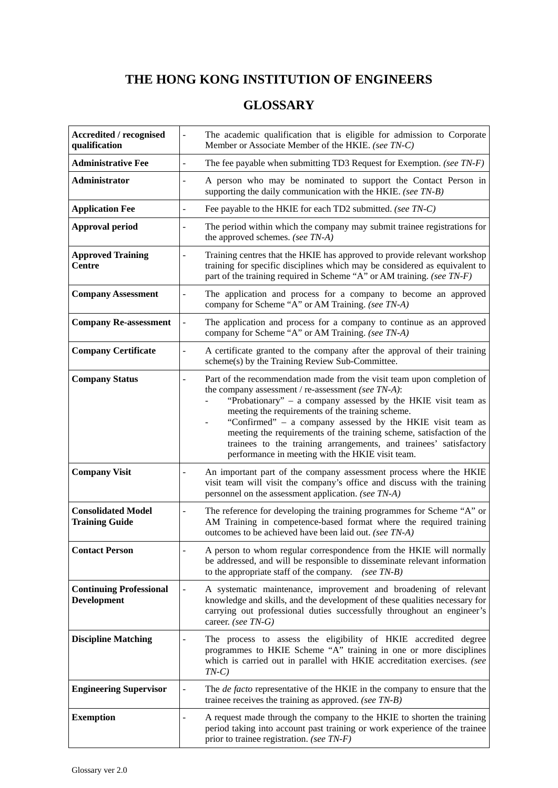## **THE HONG KONG INSTITUTION OF ENGINEERS**

## **GLOSSARY**

| <b>Accredited / recognised</b><br>qualification      | The academic qualification that is eligible for admission to Corporate<br>$\overline{\phantom{0}}$<br>Member or Associate Member of the HKIE. (see TN-C)                                                                                                                                                                                                                                                                                                                                                               |
|------------------------------------------------------|------------------------------------------------------------------------------------------------------------------------------------------------------------------------------------------------------------------------------------------------------------------------------------------------------------------------------------------------------------------------------------------------------------------------------------------------------------------------------------------------------------------------|
| <b>Administrative Fee</b>                            | The fee payable when submitting TD3 Request for Exemption. (see $TN-F$ )<br>$\overline{a}$                                                                                                                                                                                                                                                                                                                                                                                                                             |
| Administrator                                        | A person who may be nominated to support the Contact Person in<br>supporting the daily communication with the HKIE. (see TN-B)                                                                                                                                                                                                                                                                                                                                                                                         |
| <b>Application Fee</b>                               | Fee payable to the HKIE for each TD2 submitted. (see TN-C)                                                                                                                                                                                                                                                                                                                                                                                                                                                             |
| <b>Approval period</b>                               | The period within which the company may submit trainee registrations for<br>the approved schemes. (see TN-A)                                                                                                                                                                                                                                                                                                                                                                                                           |
| <b>Approved Training</b><br><b>Centre</b>            | Training centres that the HKIE has approved to provide relevant workshop<br>training for specific disciplines which may be considered as equivalent to<br>part of the training required in Scheme "A" or AM training. (see TN-F)                                                                                                                                                                                                                                                                                       |
| <b>Company Assessment</b>                            | The application and process for a company to become an approved<br>company for Scheme "A" or AM Training. (see TN-A)                                                                                                                                                                                                                                                                                                                                                                                                   |
| <b>Company Re-assessment</b>                         | The application and process for a company to continue as an approved<br>company for Scheme "A" or AM Training. (see TN-A)                                                                                                                                                                                                                                                                                                                                                                                              |
| <b>Company Certificate</b>                           | A certificate granted to the company after the approval of their training<br>scheme(s) by the Training Review Sub-Committee.                                                                                                                                                                                                                                                                                                                                                                                           |
| <b>Company Status</b>                                | Part of the recommendation made from the visit team upon completion of<br>÷,<br>the company assessment / re-assessment (see TN-A):<br>"Probationary" - a company assessed by the HKIE visit team as<br>meeting the requirements of the training scheme.<br>"Confirmed" - a company assessed by the HKIE visit team as<br>meeting the requirements of the training scheme, satisfaction of the<br>trainees to the training arrangements, and trainees' satisfactory<br>performance in meeting with the HKIE visit team. |
| <b>Company Visit</b>                                 | An important part of the company assessment process where the HKIE<br>visit team will visit the company's office and discuss with the training<br>personnel on the assessment application. (see TN-A)                                                                                                                                                                                                                                                                                                                  |
| <b>Consolidated Model</b><br><b>Training Guide</b>   | The reference for developing the training programmes for Scheme "A" or<br>AM Training in competence-based format where the required training<br>outcomes to be achieved have been laid out. (see TN-A)                                                                                                                                                                                                                                                                                                                 |
| <b>Contact Person</b>                                | A person to whom regular correspondence from the HKIE will normally<br>be addressed, and will be responsible to disseminate relevant information<br>to the appropriate staff of the company.<br>$(see TN-B)$                                                                                                                                                                                                                                                                                                           |
| <b>Continuing Professional</b><br><b>Development</b> | A systematic maintenance, improvement and broadening of relevant<br>knowledge and skills, and the development of these qualities necessary for<br>carrying out professional duties successfully throughout an engineer's<br>career. (see TN-G)                                                                                                                                                                                                                                                                         |
| <b>Discipline Matching</b>                           | The process to assess the eligibility of HKIE accredited degree<br>programmes to HKIE Scheme "A" training in one or more disciplines<br>which is carried out in parallel with HKIE accreditation exercises. (see<br>$TN-C$                                                                                                                                                                                                                                                                                             |
| <b>Engineering Supervisor</b>                        | The <i>de facto</i> representative of the HKIE in the company to ensure that the<br>trainee receives the training as approved. (see $TN-B$ )                                                                                                                                                                                                                                                                                                                                                                           |
| <b>Exemption</b>                                     | A request made through the company to the HKIE to shorten the training<br>period taking into account past training or work experience of the trainee<br>prior to trainee registration. (see TN-F)                                                                                                                                                                                                                                                                                                                      |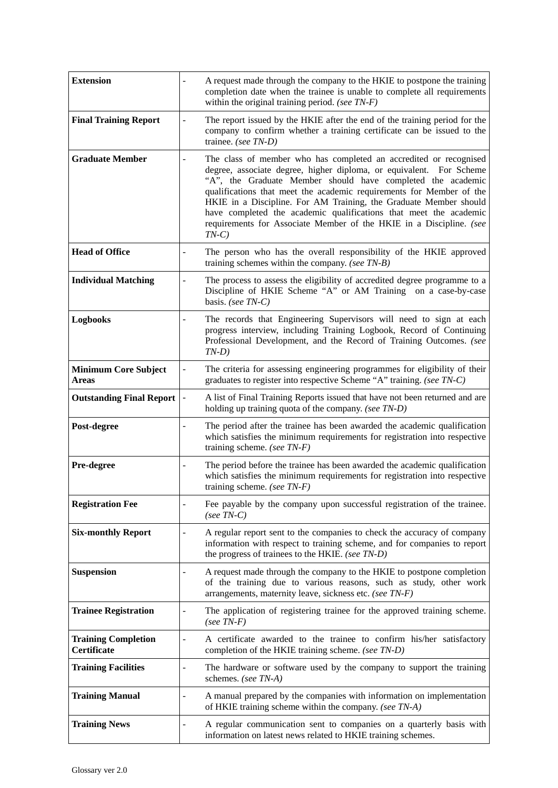| <b>Extension</b>                          |                          | A request made through the company to the HKIE to postpone the training<br>completion date when the trainee is unable to complete all requirements<br>within the original training period. (see $TN-F$ )                                                                                                                                                                                                                                                                                                   |
|-------------------------------------------|--------------------------|------------------------------------------------------------------------------------------------------------------------------------------------------------------------------------------------------------------------------------------------------------------------------------------------------------------------------------------------------------------------------------------------------------------------------------------------------------------------------------------------------------|
| <b>Final Training Report</b>              | $\overline{\phantom{a}}$ | The report issued by the HKIE after the end of the training period for the<br>company to confirm whether a training certificate can be issued to the<br>trainee. (see TN-D)                                                                                                                                                                                                                                                                                                                                |
| <b>Graduate Member</b>                    |                          | The class of member who has completed an accredited or recognised<br>degree, associate degree, higher diploma, or equivalent. For Scheme<br>"A", the Graduate Member should have completed the academic<br>qualifications that meet the academic requirements for Member of the<br>HKIE in a Discipline. For AM Training, the Graduate Member should<br>have completed the academic qualifications that meet the academic<br>requirements for Associate Member of the HKIE in a Discipline. (see<br>$TN-C$ |
| <b>Head of Office</b>                     | $\overline{\phantom{a}}$ | The person who has the overall responsibility of the HKIE approved<br>training schemes within the company. (see TN-B)                                                                                                                                                                                                                                                                                                                                                                                      |
| <b>Individual Matching</b>                |                          | The process to assess the eligibility of accredited degree programme to a<br>Discipline of HKIE Scheme "A" or AM Training on a case-by-case<br>basis. (see TN-C)                                                                                                                                                                                                                                                                                                                                           |
| <b>Logbooks</b>                           | $\overline{\phantom{a}}$ | The records that Engineering Supervisors will need to sign at each<br>progress interview, including Training Logbook, Record of Continuing<br>Professional Development, and the Record of Training Outcomes. (see<br>$TN-D$ )                                                                                                                                                                                                                                                                              |
| <b>Minimum Core Subject</b><br>Areas      |                          | The criteria for assessing engineering programmes for eligibility of their<br>graduates to register into respective Scheme "A" training. (see TN-C)                                                                                                                                                                                                                                                                                                                                                        |
| <b>Outstanding Final Report</b>           |                          | A list of Final Training Reports issued that have not been returned and are<br>holding up training quota of the company. (see TN-D)                                                                                                                                                                                                                                                                                                                                                                        |
| Post-degree                               | $\overline{\phantom{a}}$ | The period after the trainee has been awarded the academic qualification<br>which satisfies the minimum requirements for registration into respective<br>training scheme. (see $TN-F$ )                                                                                                                                                                                                                                                                                                                    |
| Pre-degree                                | $\overline{\phantom{a}}$ | The period before the trainee has been awarded the academic qualification<br>which satisfies the minimum requirements for registration into respective<br>training scheme. (see $TN-F$ )                                                                                                                                                                                                                                                                                                                   |
| <b>Registration Fee</b>                   | $\overline{a}$           | Fee payable by the company upon successful registration of the trainee.<br>$(see TN-C)$                                                                                                                                                                                                                                                                                                                                                                                                                    |
| <b>Six-monthly Report</b>                 | $\overline{a}$           | A regular report sent to the companies to check the accuracy of company<br>information with respect to training scheme, and for companies to report<br>the progress of trainees to the HKIE. (see TN-D)                                                                                                                                                                                                                                                                                                    |
| <b>Suspension</b>                         | $\overline{\phantom{a}}$ | A request made through the company to the HKIE to postpone completion<br>of the training due to various reasons, such as study, other work<br>arrangements, maternity leave, sickness etc. (see TN-F)                                                                                                                                                                                                                                                                                                      |
| <b>Trainee Registration</b>               | $\overline{\phantom{a}}$ | The application of registering trainee for the approved training scheme.<br>$(see TN-F)$                                                                                                                                                                                                                                                                                                                                                                                                                   |
| <b>Training Completion</b><br>Certificate |                          | A certificate awarded to the trainee to confirm his/her satisfactory<br>completion of the HKIE training scheme. (see TN-D)                                                                                                                                                                                                                                                                                                                                                                                 |
| <b>Training Facilities</b>                | $\overline{\phantom{a}}$ | The hardware or software used by the company to support the training<br>schemes. (see TN-A)                                                                                                                                                                                                                                                                                                                                                                                                                |
| <b>Training Manual</b>                    | $\overline{\phantom{a}}$ | A manual prepared by the companies with information on implementation<br>of HKIE training scheme within the company. (see TN-A)                                                                                                                                                                                                                                                                                                                                                                            |
| <b>Training News</b>                      |                          | A regular communication sent to companies on a quarterly basis with<br>information on latest news related to HKIE training schemes.                                                                                                                                                                                                                                                                                                                                                                        |